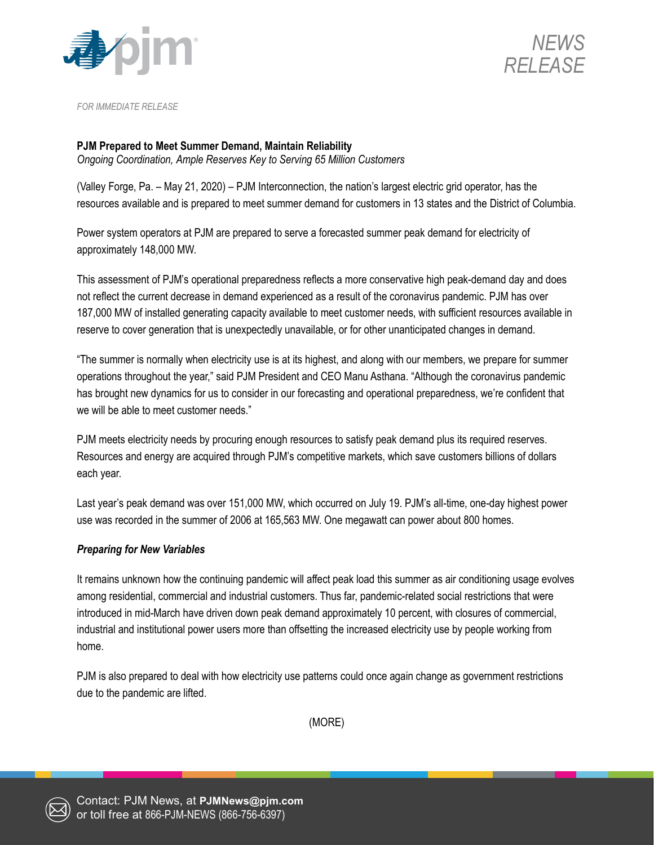



*FOR IMMEDIATE RELEASE*

## **PJM Prepared to Meet Summer Demand, Maintain Reliability**

*Ongoing Coordination, Ample Reserves Key to Serving 65 Million Customers*

(Valley Forge, Pa. – May 21, 2020) – PJM Interconnection, the nation's largest electric grid operator, has the resources available and is prepared to meet summer demand for customers in 13 states and the District of Columbia.

Power system operators at PJM are prepared to serve a forecasted summer peak demand for electricity of approximately 148,000 MW.

This assessment of PJM's operational preparedness reflects a more conservative high peak-demand day and does not reflect the current decrease in demand experienced as a result of the coronavirus pandemic. PJM has over 187,000 MW of installed generating capacity available to meet customer needs, with sufficient resources available in reserve to cover generation that is unexpectedly unavailable, or for other unanticipated changes in demand.

"The summer is normally when electricity use is at its highest, and along with our members, we prepare for summer operations throughout the year," said PJM President and CEO Manu Asthana. "Although the coronavirus pandemic has brought new dynamics for us to consider in our forecasting and operational preparedness, we're confident that we will be able to meet customer needs."

PJM meets electricity needs by procuring enough resources to satisfy peak demand plus its required reserves. Resources and energy are acquired through PJM's competitive markets, which save customers billions of dollars each year.

Last year's peak demand was over 151,000 MW, which occurred on July 19. PJM's all-time, one-day highest power use was recorded in the summer of 2006 at 165,563 MW. One megawatt can power about 800 homes.

## *Preparing for New Variables*

It remains unknown how the continuing pandemic will affect peak load this summer as air conditioning usage evolves among residential, commercial and industrial customers. Thus far, pandemic-related social restrictions that were introduced in mid-March have driven down peak demand approximately 10 percent, with closures of commercial, industrial and institutional power users more than offsetting the increased electricity use by people working from home.

PJM is also prepared to deal with how electricity use patterns could once again change as government restrictions due to the pandemic are lifted.

(MORE)